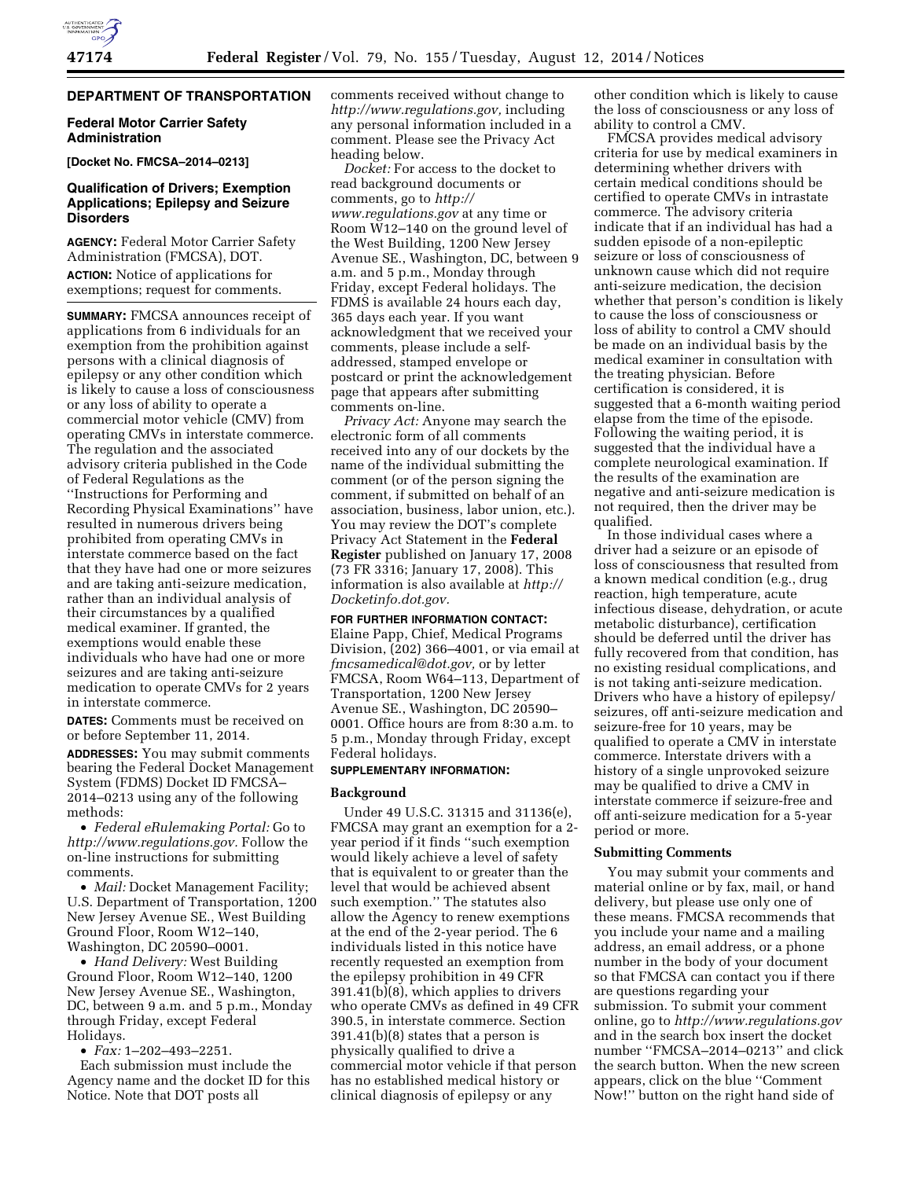# **DEPARTMENT OF TRANSPORTATION**

## **Federal Motor Carrier Safety Administration**

# **[Docket No. FMCSA–2014–0213]**

# **Qualification of Drivers; Exemption Applications; Epilepsy and Seizure Disorders**

**AGENCY:** Federal Motor Carrier Safety Administration (FMCSA), DOT. **ACTION:** Notice of applications for exemptions; request for comments.

**SUMMARY:** FMCSA announces receipt of applications from 6 individuals for an exemption from the prohibition against persons with a clinical diagnosis of epilepsy or any other condition which is likely to cause a loss of consciousness or any loss of ability to operate a commercial motor vehicle (CMV) from operating CMVs in interstate commerce. The regulation and the associated advisory criteria published in the Code of Federal Regulations as the ''Instructions for Performing and Recording Physical Examinations'' have resulted in numerous drivers being prohibited from operating CMVs in interstate commerce based on the fact that they have had one or more seizures and are taking anti-seizure medication, rather than an individual analysis of their circumstances by a qualified medical examiner. If granted, the exemptions would enable these individuals who have had one or more seizures and are taking anti-seizure medication to operate CMVs for 2 years in interstate commerce.

**DATES:** Comments must be received on or before September 11, 2014*.* 

**ADDRESSES:** You may submit comments bearing the Federal Docket Management System (FDMS) Docket ID FMCSA– 2014–0213 using any of the following methods:

• *Federal eRulemaking Portal:* Go to *[http://www.regulations.gov.](http://www.regulations.gov)* Follow the on-line instructions for submitting comments.

• *Mail:* Docket Management Facility; U.S. Department of Transportation, 1200 New Jersey Avenue SE., West Building Ground Floor, Room W12–140, Washington, DC 20590–0001.

• *Hand Delivery:* West Building Ground Floor, Room W12–140, 1200 New Jersey Avenue SE., Washington, DC, between 9 a.m. and 5 p.m., Monday through Friday, except Federal Holidays.

• *Fax:* 1–202–493–2251.

Each submission must include the Agency name and the docket ID for this Notice. Note that DOT posts all

comments received without change to *[http://www.regulations.gov,](http://www.regulations.gov)* including any personal information included in a comment. Please see the Privacy Act heading below.

*Docket:* For access to the docket to read background documents or comments, go to *[http://](http://www.regulations.gov) [www.regulations.gov](http://www.regulations.gov)* at any time or Room W12–140 on the ground level of the West Building, 1200 New Jersey Avenue SE., Washington, DC, between 9 a.m. and 5 p.m., Monday through Friday, except Federal holidays. The FDMS is available 24 hours each day, 365 days each year. If you want acknowledgment that we received your comments, please include a selfaddressed, stamped envelope or postcard or print the acknowledgement page that appears after submitting comments on-line.

*Privacy Act:* Anyone may search the electronic form of all comments received into any of our dockets by the name of the individual submitting the comment (or of the person signing the comment, if submitted on behalf of an association, business, labor union, etc.). You may review the DOT's complete Privacy Act Statement in the **Federal Register** published on January 17, 2008 (73 FR 3316; January 17, 2008). This information is also available at *[http://](http://Docketinfo.dot.gov) [Docketinfo.dot.gov.](http://Docketinfo.dot.gov)* 

### **FOR FURTHER INFORMATION CONTACT:**

Elaine Papp, Chief, Medical Programs Division, (202) 366–4001, or via email at *[fmcsamedical@dot.gov,](mailto:fmcsamedical@dot.gov)* or by letter FMCSA, Room W64–113, Department of Transportation, 1200 New Jersey Avenue SE., Washington, DC 20590– 0001. Office hours are from 8:30 a.m. to 5 p.m., Monday through Friday, except Federal holidays.

## **SUPPLEMENTARY INFORMATION:**

## **Background**

Under 49 U.S.C. 31315 and 31136(e), FMCSA may grant an exemption for a 2 year period if it finds ''such exemption would likely achieve a level of safety that is equivalent to or greater than the level that would be achieved absent such exemption.'' The statutes also allow the Agency to renew exemptions at the end of the 2-year period. The 6 individuals listed in this notice have recently requested an exemption from the epilepsy prohibition in 49 CFR 391.41(b)(8), which applies to drivers who operate CMVs as defined in 49 CFR 390.5, in interstate commerce. Section 391.41(b)(8) states that a person is physically qualified to drive a commercial motor vehicle if that person has no established medical history or clinical diagnosis of epilepsy or any

other condition which is likely to cause the loss of consciousness or any loss of ability to control a CMV.

FMCSA provides medical advisory criteria for use by medical examiners in determining whether drivers with certain medical conditions should be certified to operate CMVs in intrastate commerce. The advisory criteria indicate that if an individual has had a sudden episode of a non-epileptic seizure or loss of consciousness of unknown cause which did not require anti-seizure medication, the decision whether that person's condition is likely to cause the loss of consciousness or loss of ability to control a CMV should be made on an individual basis by the medical examiner in consultation with the treating physician. Before certification is considered, it is suggested that a 6-month waiting period elapse from the time of the episode. Following the waiting period, it is suggested that the individual have a complete neurological examination. If the results of the examination are negative and anti-seizure medication is not required, then the driver may be qualified.

In those individual cases where a driver had a seizure or an episode of loss of consciousness that resulted from a known medical condition (e.g., drug reaction, high temperature, acute infectious disease, dehydration, or acute metabolic disturbance), certification should be deferred until the driver has fully recovered from that condition, has no existing residual complications, and is not taking anti-seizure medication. Drivers who have a history of epilepsy/ seizures, off anti-seizure medication and seizure-free for 10 years, may be qualified to operate a CMV in interstate commerce. Interstate drivers with a history of a single unprovoked seizure may be qualified to drive a CMV in interstate commerce if seizure-free and off anti-seizure medication for a 5-year period or more.

# **Submitting Comments**

You may submit your comments and material online or by fax, mail, or hand delivery, but please use only one of these means. FMCSA recommends that you include your name and a mailing address, an email address, or a phone number in the body of your document so that FMCSA can contact you if there are questions regarding your submission. To submit your comment online, go to *<http://www.regulations.gov>*  and in the search box insert the docket number ''FMCSA–2014–0213'' and click the search button. When the new screen appears, click on the blue ''Comment Now!'' button on the right hand side of